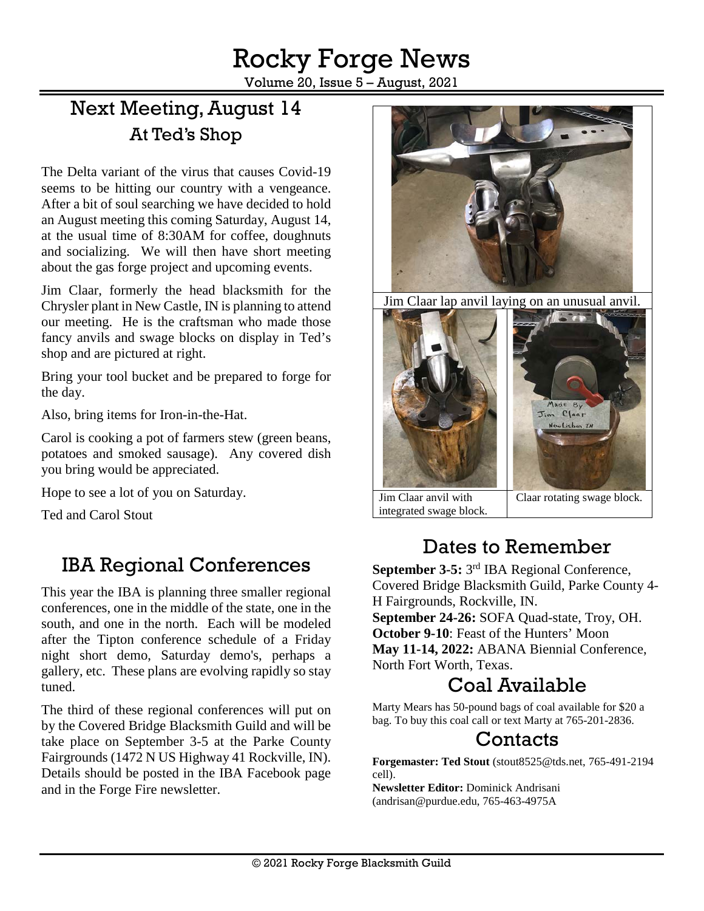# Rocky Forge News

Volume 20, Issue 5 – August, 2021

## Next Meeting, August 14 At Ted's Shop

The Delta variant of the virus that causes Covid-19 seems to be hitting our country with a vengeance. After a bit of soul searching we have decided to hold an August meeting this coming Saturday, August 14, at the usual time of 8:30AM for coffee, doughnuts and socializing. We will then have short meeting about the gas forge project and upcoming events.

Jim Claar, formerly the head blacksmith for the Chrysler plant in New Castle, IN is planning to attend our meeting. He is the craftsman who made those fancy anvils and swage blocks on display in Ted's shop and are pictured at right.

Bring your tool bucket and be prepared to forge for the day.

Also, bring items for Iron-in-the-Hat.

Carol is cooking a pot of farmers stew (green beans, potatoes and smoked sausage). Any covered dish you bring would be appreciated.

Hope to see a lot of you on Saturday.

Ted and Carol Stout

### IBA Regional Conferences

This year the IBA is planning three smaller regional conferences, one in the middle of the state, one in the south, and one in the north. Each will be modeled after the Tipton conference schedule of a Friday night short demo, Saturday demo's, perhaps a gallery, etc. These plans are evolving rapidly so stay tuned.

The third of these regional conferences will put on by the Covered Bridge Blacksmith Guild and will be take place on September 3-5 at the Parke County Fairgrounds [\(1472 N US Highway 41 Rockville, IN\).](https://www.google.com/maps/dir/?api=1&destination=39.789250756091%2C-87.236978417409&fbclid=IwAR2zd0NOH7DEgrrAIb-8XihKK_A3fnYTaJpy_3OjY_-uRphr1Qs1o1E-70g) Details should be posted in the IBA Facebook page and in the Forge Fire newsletter.



Jim Claar lap anvil laying on an unusual anvil.



Jim Claar anvil with integrated swage block. Claar rotating swage block.

### Dates to Remember

**September 3-5:** 3rd IBA Regional Conference, Covered Bridge Blacksmith Guild, Parke County 4- H Fairgrounds, Rockville, IN. **September 24-26:** SOFA Quad-state, Troy, OH. **October 9-10:** Feast of the Hunters' Moon **May 11-14, 2022:** ABANA Biennial Conference, North Fort Worth, Texas.

#### Coal Available

Marty Mears has 50-pound bags of coal available for \$20 a bag. To buy this coal call or text Marty at 765-201-2836.

#### Contacts

**Forgemaster: Ted Stout** [\(stout8525@tds.net,](mailto:stout8525@tds.net) 765-491-2194 cell).

**Newsletter Editor:** Dominick Andrisani [\(andrisan@purdue.edu,](mailto:andrisan@purdue.edu) 765-463-4975A